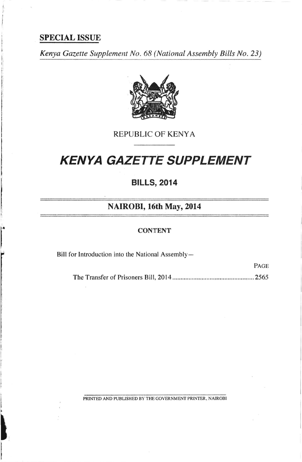#### **SPECIAL ISSUE**

I I

l

Kenya Gazette Supplement No.68 (National Assembly Bills No.23)



REPUBLIC OF KENYA

# **KENYA GAZETTE SUPPLEMENT**

BILLS, 2014

NAIROBI, 16th May, 2014

#### CONTENT

Bill for Introduction into the National Assembly-

The Transfer of Prisoners Bill, 2014 2565

PAGE

PRINTED AND PUBLISHED BY THE COVERNMENT PRINTER, NAIROBI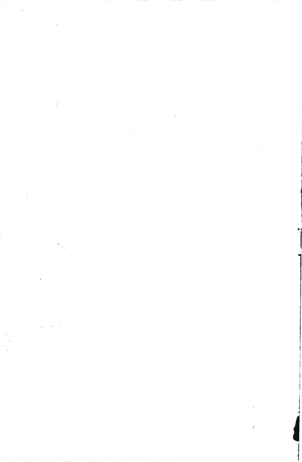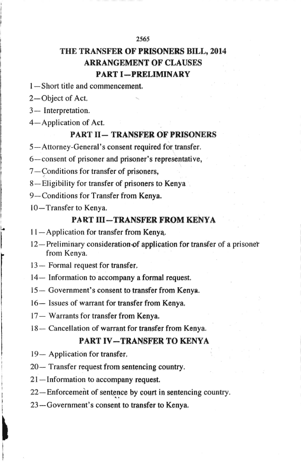## THE TRANSFER OF PRISONERS BILL, 2014 **ARRANGEMENT OF CLAUSES PART I-PRELIMINARY**

1-Short title and commencement.

2-Object of Act.

3-Interpretation.

4-Application of Act.

#### **PART II - TRANSFER OF PRISONERS**

5—Attorney-General's consent required for transfer.

6—consent of prisoner and prisoner's representative,

7-Conditions for transfer of prisoners,

8—Eligibility for transfer of prisoners to Kenya

9-Conditions for Transfer from Kenya.

10-Transfer to Kenya.

#### **PART III-TRANSFER FROM KENYA**

- 11-Application for transfer from Kenya.
- 12—Preliminary consideration of application for transfer of a prisoner from Kenya.
- 13 Formal request for transfer.
- 14- Information to accompany a formal request.
- 15 Government's consent to transfer from Kenya.

16— Issues of warrant for transfer from Kenya.

17- Warrants for transfer from Kenya.

18 - Cancellation of warrant for transfer from Kenya.

#### **PART IV-TRANSFER TO KENYA**

19- Application for transfer.

20— Transfer request from sentencing country.

21—Information to accompany request.

22—Enforcement of sentence by court in sentencing country.

23—Government's consent to transfer to Kenya.